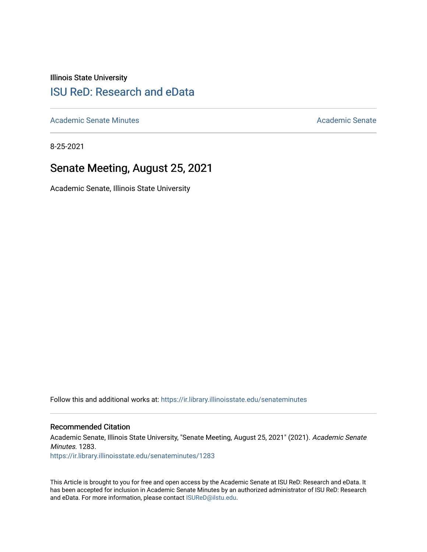Illinois State University

# [ISU ReD: Research and eData](https://ir.library.illinoisstate.edu/)

[Academic Senate Minutes](https://ir.library.illinoisstate.edu/senateminutes) [Academic Senate](https://ir.library.illinoisstate.edu/senate) Academic Senate

8-25-2021

# Senate Meeting, August 25, 2021

Academic Senate, Illinois State University

Follow this and additional works at: [https://ir.library.illinoisstate.edu/senateminutes](https://ir.library.illinoisstate.edu/senateminutes?utm_source=ir.library.illinoisstate.edu%2Fsenateminutes%2F1283&utm_medium=PDF&utm_campaign=PDFCoverPages) 

#### Recommended Citation

Academic Senate, Illinois State University, "Senate Meeting, August 25, 2021" (2021). Academic Senate Minutes. 1283.

[https://ir.library.illinoisstate.edu/senateminutes/1283](https://ir.library.illinoisstate.edu/senateminutes/1283?utm_source=ir.library.illinoisstate.edu%2Fsenateminutes%2F1283&utm_medium=PDF&utm_campaign=PDFCoverPages)

This Article is brought to you for free and open access by the Academic Senate at ISU ReD: Research and eData. It has been accepted for inclusion in Academic Senate Minutes by an authorized administrator of ISU ReD: Research and eData. For more information, please contact [ISUReD@ilstu.edu.](mailto:ISUReD@ilstu.edu)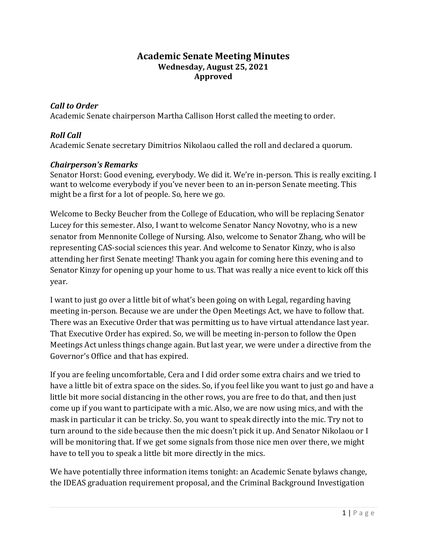### **Academic Senate Meeting Minutes Wednesday, August 25, 2021 Approved**

### *Call to Order*

Academic Senate chairperson Martha Callison Horst called the meeting to order.

### *Roll Call*

Academic Senate secretary Dimitrios Nikolaou called the roll and declared a quorum.

#### *Chairperson's Remarks*

Senator Horst: Good evening, everybody. We did it. We're in-person. This is really exciting. I want to welcome everybody if you've never been to an in-person Senate meeting. This might be a first for a lot of people. So, here we go.

Welcome to Becky Beucher from the College of Education, who will be replacing Senator Lucey for this semester. Also, I want to welcome Senator Nancy Novotny, who is a new senator from Mennonite College of Nursing. Also, welcome to Senator Zhang, who will be representing CAS-social sciences this year. And welcome to Senator Kinzy, who is also attending her first Senate meeting! Thank you again for coming here this evening and to Senator Kinzy for opening up your home to us. That was really a nice event to kick off this year.

I want to just go over a little bit of what's been going on with Legal, regarding having meeting in-person. Because we are under the Open Meetings Act, we have to follow that. There was an Executive Order that was permitting us to have virtual attendance last year. That Executive Order has expired. So, we will be meeting in-person to follow the Open Meetings Act unless things change again. But last year, we were under a directive from the Governor's Office and that has expired.

If you are feeling uncomfortable, Cera and I did order some extra chairs and we tried to have a little bit of extra space on the sides. So, if you feel like you want to just go and have a little bit more social distancing in the other rows, you are free to do that, and then just come up if you want to participate with a mic. Also, we are now using mics, and with the mask in particular it can be tricky. So, you want to speak directly into the mic. Try not to turn around to the side because then the mic doesn't pick it up. And Senator Nikolaou or I will be monitoring that. If we get some signals from those nice men over there, we might have to tell you to speak a little bit more directly in the mics.

We have potentially three information items tonight: an Academic Senate bylaws change, the IDEAS graduation requirement proposal, and the Criminal Background Investigation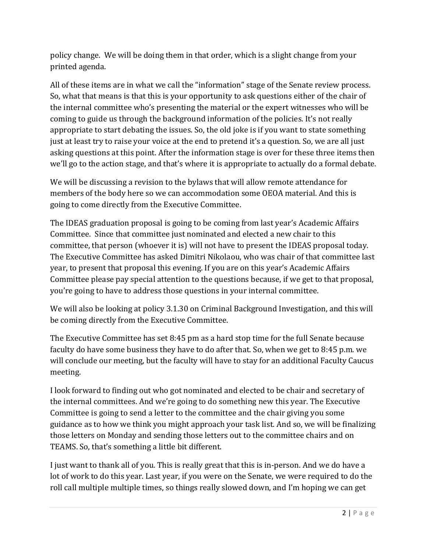policy change. We will be doing them in that order, which is a slight change from your printed agenda.

All of these items are in what we call the "information" stage of the Senate review process. So, what that means is that this is your opportunity to ask questions either of the chair of the internal committee who's presenting the material or the expert witnesses who will be coming to guide us through the background information of the policies. It's not really appropriate to start debating the issues. So, the old joke is if you want to state something just at least try to raise your voice at the end to pretend it's a question. So, we are all just asking questions at this point. After the information stage is over for these three items then we'll go to the action stage, and that's where it is appropriate to actually do a formal debate.

We will be discussing a revision to the bylaws that will allow remote attendance for members of the body here so we can accommodation some OEOA material. And this is going to come directly from the Executive Committee.

The IDEAS graduation proposal is going to be coming from last year's Academic Affairs Committee. Since that committee just nominated and elected a new chair to this committee, that person (whoever it is) will not have to present the IDEAS proposal today. The Executive Committee has asked Dimitri Nikolaou, who was chair of that committee last year, to present that proposal this evening. If you are on this year's Academic Affairs Committee please pay special attention to the questions because, if we get to that proposal, you're going to have to address those questions in your internal committee.

We will also be looking at policy 3.1.30 on Criminal Background Investigation, and this will be coming directly from the Executive Committee.

The Executive Committee has set 8:45 pm as a hard stop time for the full Senate because faculty do have some business they have to do after that. So, when we get to 8:45 p.m. we will conclude our meeting, but the faculty will have to stay for an additional Faculty Caucus meeting.

I look forward to finding out who got nominated and elected to be chair and secretary of the internal committees. And we're going to do something new this year. The Executive Committee is going to send a letter to the committee and the chair giving you some guidance as to how we think you might approach your task list. And so, we will be finalizing those letters on Monday and sending those letters out to the committee chairs and on TEAMS. So, that's something a little bit different.

I just want to thank all of you. This is really great that this is in-person. And we do have a lot of work to do this year. Last year, if you were on the Senate, we were required to do the roll call multiple multiple times, so things really slowed down, and I'm hoping we can get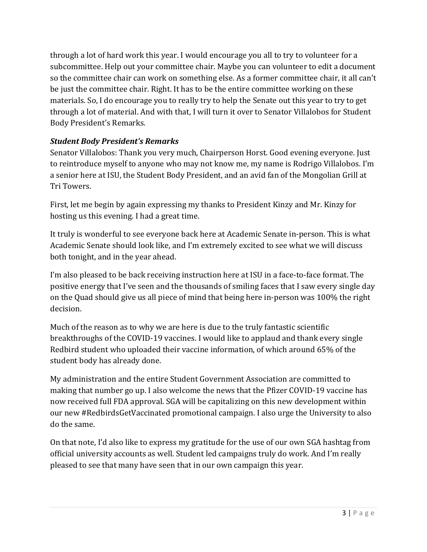through a lot of hard work this year. I would encourage you all to try to volunteer for a subcommittee. Help out your committee chair. Maybe you can volunteer to edit a document so the committee chair can work on something else. As a former committee chair, it all can't be just the committee chair. Right. It has to be the entire committee working on these materials. So, I do encourage you to really try to help the Senate out this year to try to get through a lot of material. And with that, I will turn it over to Senator Villalobos for Student Body President's Remarks.

# *Student Body President's Remarks*

Senator Villalobos: Thank you very much, Chairperson Horst. Good evening everyone. Just to reintroduce myself to anyone who may not know me, my name is Rodrigo Villalobos. I'm a senior here at ISU, the Student Body President, and an avid fan of the Mongolian Grill at Tri Towers.

First, let me begin by again expressing my thanks to President Kinzy and Mr. Kinzy for hosting us this evening. I had a great time.

It truly is wonderful to see everyone back here at Academic Senate in-person. This is what Academic Senate should look like, and I'm extremely excited to see what we will discuss both tonight, and in the year ahead.

I'm also pleased to be back receiving instruction here at ISU in a face-to-face format. The positive energy that I've seen and the thousands of smiling faces that I saw every single day on the Quad should give us all piece of mind that being here in-person was 100% the right decision.

Much of the reason as to why we are here is due to the truly fantastic scientific breakthroughs of the COVID-19 vaccines. I would like to applaud and thank every single Redbird student who uploaded their vaccine information, of which around 65% of the student body has already done.

My administration and the entire Student Government Association are committed to making that number go up. I also welcome the news that the Pfizer COVID-19 vaccine has now received full FDA approval. SGA will be capitalizing on this new development within our new #RedbirdsGetVaccinated promotional campaign. I also urge the University to also do the same.

On that note, I'd also like to express my gratitude for the use of our own SGA hashtag from official university accounts as well. Student led campaigns truly do work. And I'm really pleased to see that many have seen that in our own campaign this year.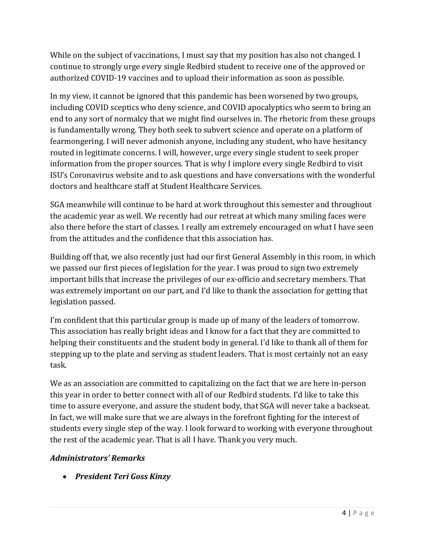While on the subject of vaccinations, I must say that my position has also not changed. I continue to strongly urge every single Redbird student to receive one of the approved or authorized COVID-19 vaccines and to upload their information as soon as possible.

In my view, it cannot be ignored that this pandemic has been worsened by two groups, including COVID sceptics who deny science, and COVID apocalyptics who seem to bring an end to any sort of normalcy that we might find ourselves in. The rhetoric from these groups is fundamentally wrong. They both seek to subvert science and operate on a platform of fearmongering. I will never admonish anyone, including any student, who have hesitancy routed in legitimate concerns. I will, however, urge every single student to seek proper information from the proper sources. That is why I implore every single Redbird to visit ISU's Coronavirus website and to ask questions and have conversations with the wonderful doctors and healthcare staff at Student Healthcare Services.

SGA meanwhile will continue to be hard at work throughout this semester and throughout the academic year as well. We recently had our retreat at which many smiling faces were also there before the start of classes. I really am extremely encouraged on what I have seen from the attitudes and the confidence that this association has.

Building off that, we also recently just had our first General Assembly in this room, in which we passed our first pieces of legislation for the year. I was proud to sign two extremely important bills that increase the privileges of our ex-officio and secretary members. That was extremely important on our part, and I'd like to thank the association for getting that legislation passed.

I'm confident that this particular group is made up of many of the leaders of tomorrow. This association has really bright ideas and I know for a fact that they are committed to helping their constituents and the student body in general. I'd like to thank all of them for stepping up to the plate and serving as student leaders. That is most certainly not an easy task.

We as an association are committed to capitalizing on the fact that we are here in-person this year in order to better connect with all of our Redbird students. I'd like to take this time to assure everyone, and assure the student body, that SGA will never take a backseat. In fact, we will make sure that we are always in the forefront fighting for the interest of students every single step of the way. I look forward to working with everyone throughout the rest of the academic year. That is all I have. Thank you very much.

## *Administrators' Remarks*

• *President Teri Goss Kinzy*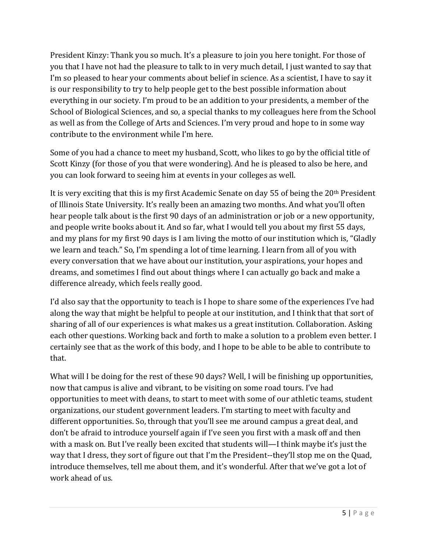President Kinzy: Thank you so much. It's a pleasure to join you here tonight. For those of you that I have not had the pleasure to talk to in very much detail, I just wanted to say that I'm so pleased to hear your comments about belief in science. As a scientist, I have to say it is our responsibility to try to help people get to the best possible information about everything in our society. I'm proud to be an addition to your presidents, a member of the School of Biological Sciences, and so, a special thanks to my colleagues here from the School as well as from the College of Arts and Sciences. I'm very proud and hope to in some way contribute to the environment while I'm here.

Some of you had a chance to meet my husband, Scott, who likes to go by the official title of Scott Kinzy (for those of you that were wondering). And he is pleased to also be here, and you can look forward to seeing him at events in your colleges as well.

It is very exciting that this is my first Academic Senate on day 55 of being the 20th President of Illinois State University. It's really been an amazing two months. And what you'll often hear people talk about is the first 90 days of an administration or job or a new opportunity, and people write books about it. And so far, what I would tell you about my first 55 days, and my plans for my first 90 days is I am living the motto of our institution which is, "Gladly we learn and teach." So, I'm spending a lot of time learning. I learn from all of you with every conversation that we have about our institution, your aspirations, your hopes and dreams, and sometimes I find out about things where I can actually go back and make a difference already, which feels really good.

I'd also say that the opportunity to teach is I hope to share some of the experiences I've had along the way that might be helpful to people at our institution, and I think that that sort of sharing of all of our experiences is what makes us a great institution. Collaboration. Asking each other questions. Working back and forth to make a solution to a problem even better. I certainly see that as the work of this body, and I hope to be able to be able to contribute to that.

What will I be doing for the rest of these 90 days? Well, I will be finishing up opportunities, now that campus is alive and vibrant, to be visiting on some road tours. I've had opportunities to meet with deans, to start to meet with some of our athletic teams, student organizations, our student government leaders. I'm starting to meet with faculty and different opportunities. So, through that you'll see me around campus a great deal, and don't be afraid to introduce yourself again if I've seen you first with a mask off and then with a mask on. But I've really been excited that students will—I think maybe it's just the way that I dress, they sort of figure out that I'm the President--they'll stop me on the Quad, introduce themselves, tell me about them, and it's wonderful. After that we've got a lot of work ahead of us.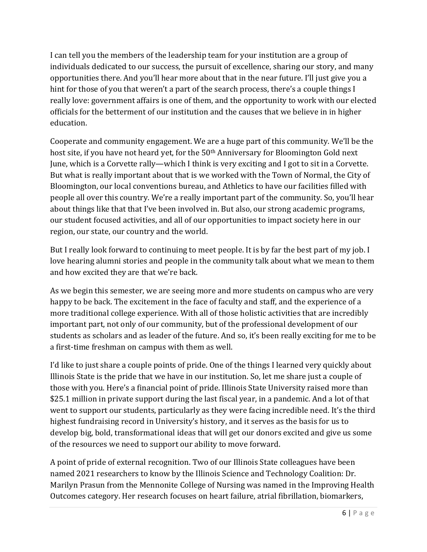I can tell you the members of the leadership team for your institution are a group of individuals dedicated to our success, the pursuit of excellence, sharing our story, and many opportunities there. And you'll hear more about that in the near future. I'll just give you a hint for those of you that weren't a part of the search process, there's a couple things I really love: government affairs is one of them, and the opportunity to work with our elected officials for the betterment of our institution and the causes that we believe in in higher education.

Cooperate and community engagement. We are a huge part of this community. We'll be the host site, if you have not heard yet, for the 50<sup>th</sup> Anniversary for Bloomington Gold next June, which is a Corvette rally—which I think is very exciting and I got to sit in a Corvette. But what is really important about that is we worked with the Town of Normal, the City of Bloomington, our local conventions bureau, and Athletics to have our facilities filled with people all over this country. We're a really important part of the community. So, you'll hear about things like that that I've been involved in. But also, our strong academic programs, our student focused activities, and all of our opportunities to impact society here in our region, our state, our country and the world.

But I really look forward to continuing to meet people. It is by far the best part of my job. I love hearing alumni stories and people in the community talk about what we mean to them and how excited they are that we're back.

As we begin this semester, we are seeing more and more students on campus who are very happy to be back. The excitement in the face of faculty and staff, and the experience of a more traditional college experience. With all of those holistic activities that are incredibly important part, not only of our community, but of the professional development of our students as scholars and as leader of the future. And so, it's been really exciting for me to be a first-time freshman on campus with them as well.

I'd like to just share a couple points of pride. One of the things I learned very quickly about Illinois State is the pride that we have in our institution. So, let me share just a couple of those with you. Here's a financial point of pride. Illinois State University raised more than \$25.1 million in private support during the last fiscal year, in a pandemic. And a lot of that went to support our students, particularly as they were facing incredible need. It's the third highest fundraising record in University's history, and it serves as the basis for us to develop big, bold, transformational ideas that will get our donors excited and give us some of the resources we need to support our ability to move forward.

A point of pride of external recognition. Two of our Illinois State colleagues have been named 2021 researchers to know by the Illinois Science and Technology Coalition: Dr. Marilyn Prasun from the Mennonite College of Nursing was named in the Improving Health Outcomes category. Her research focuses on heart failure, atrial fibrillation, biomarkers,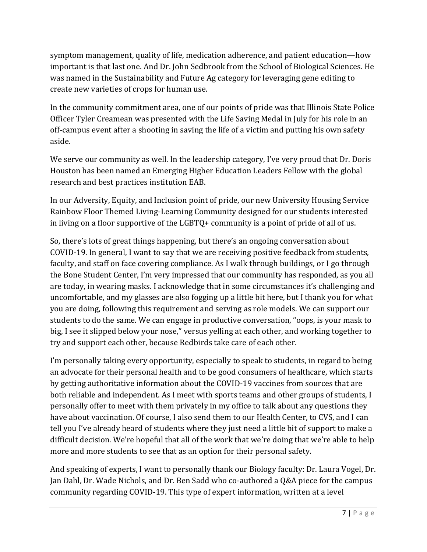symptom management, quality of life, medication adherence, and patient education—how important is that last one. And Dr. John Sedbrook from the School of Biological Sciences. He was named in the Sustainability and Future Ag category for leveraging gene editing to create new varieties of crops for human use.

In the community commitment area, one of our points of pride was that Illinois State Police Officer Tyler Creamean was presented with the Life Saving Medal in July for his role in an off-campus event after a shooting in saving the life of a victim and putting his own safety aside.

We serve our community as well. In the leadership category, I've very proud that Dr. Doris Houston has been named an Emerging Higher Education Leaders Fellow with the global research and best practices institution EAB.

In our Adversity, Equity, and Inclusion point of pride, our new University Housing Service Rainbow Floor Themed Living-Learning Community designed for our students interested in living on a floor supportive of the LGBTQ+ community is a point of pride of all of us.

So, there's lots of great things happening, but there's an ongoing conversation about COVID-19. In general, I want to say that we are receiving positive feedback from students, faculty, and staff on face covering compliance. As I walk through buildings, or I go through the Bone Student Center, I'm very impressed that our community has responded, as you all are today, in wearing masks. I acknowledge that in some circumstances it's challenging and uncomfortable, and my glasses are also fogging up a little bit here, but I thank you for what you are doing, following this requirement and serving as role models. We can support our students to do the same. We can engage in productive conversation, "oops, is your mask to big, I see it slipped below your nose," versus yelling at each other, and working together to try and support each other, because Redbirds take care of each other.

I'm personally taking every opportunity, especially to speak to students, in regard to being an advocate for their personal health and to be good consumers of healthcare, which starts by getting authoritative information about the COVID-19 vaccines from sources that are both reliable and independent. As I meet with sports teams and other groups of students, I personally offer to meet with them privately in my office to talk about any questions they have about vaccination. Of course, I also send them to our Health Center, to CVS, and I can tell you I've already heard of students where they just need a little bit of support to make a difficult decision. We're hopeful that all of the work that we're doing that we're able to help more and more students to see that as an option for their personal safety.

And speaking of experts, I want to personally thank our Biology faculty: Dr. Laura Vogel, Dr. Jan Dahl, Dr. Wade Nichols, and Dr. Ben Sadd who co-authored a Q&A piece for the campus community regarding COVID-19. This type of expert information, written at a level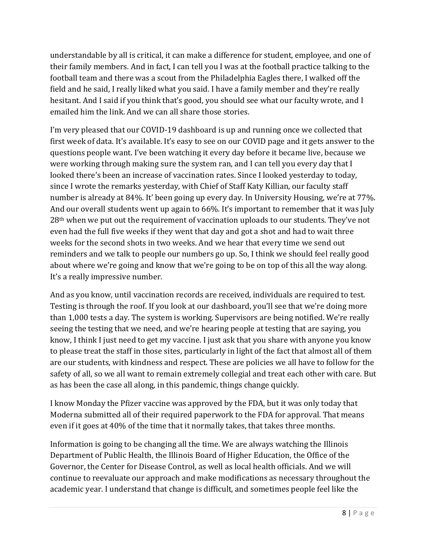understandable by all is critical, it can make a difference for student, employee, and one of their family members. And in fact, I can tell you I was at the football practice talking to the football team and there was a scout from the Philadelphia Eagles there, I walked off the field and he said, I really liked what you said. I have a family member and they're really hesitant. And I said if you think that's good, you should see what our faculty wrote, and I emailed him the link. And we can all share those stories.

I'm very pleased that our COVID-19 dashboard is up and running once we collected that first week of data. It's available. It's easy to see on our COVID page and it gets answer to the questions people want. I've been watching it every day before it became live, because we were working through making sure the system ran, and I can tell you every day that I looked there's been an increase of vaccination rates. Since I looked yesterday to today, since I wrote the remarks yesterday, with Chief of Staff Katy Killian, our faculty staff number is already at 84%. It' been going up every day. In University Housing, we're at 77%. And our overall students went up again to 66%. It's important to remember that it was July 28th when we put out the requirement of vaccination uploads to our students. They've not even had the full five weeks if they went that day and got a shot and had to wait three weeks for the second shots in two weeks. And we hear that every time we send out reminders and we talk to people our numbers go up. So, I think we should feel really good about where we're going and know that we're going to be on top of this all the way along. It's a really impressive number.

And as you know, until vaccination records are received, individuals are required to test. Testing is through the roof. If you look at our dashboard, you'll see that we're doing more than 1,000 tests a day. The system is working. Supervisors are being notified. We're really seeing the testing that we need, and we're hearing people at testing that are saying, you know, I think I just need to get my vaccine. I just ask that you share with anyone you know to please treat the staff in those sites, particularly in light of the fact that almost all of them are our students, with kindness and respect. These are policies we all have to follow for the safety of all, so we all want to remain extremely collegial and treat each other with care. But as has been the case all along, in this pandemic, things change quickly.

I know Monday the Pfizer vaccine was approved by the FDA, but it was only today that Moderna submitted all of their required paperwork to the FDA for approval. That means even if it goes at 40% of the time that it normally takes, that takes three months.

Information is going to be changing all the time. We are always watching the Illinois Department of Public Health, the Illinois Board of Higher Education, the Office of the Governor, the Center for Disease Control, as well as local health officials. And we will continue to reevaluate our approach and make modifications as necessary throughout the academic year. I understand that change is difficult, and sometimes people feel like the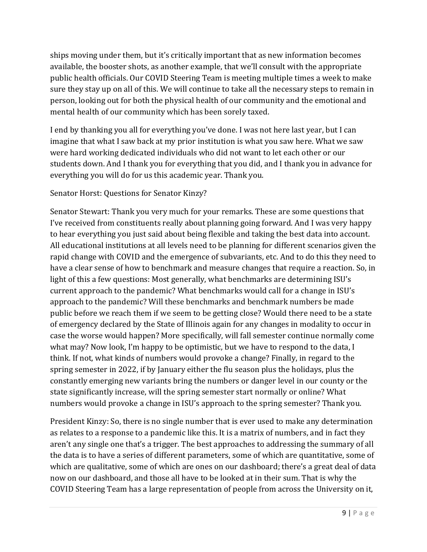ships moving under them, but it's critically important that as new information becomes available, the booster shots, as another example, that we'll consult with the appropriate public health officials. Our COVID Steering Team is meeting multiple times a week to make sure they stay up on all of this. We will continue to take all the necessary steps to remain in person, looking out for both the physical health of our community and the emotional and mental health of our community which has been sorely taxed.

I end by thanking you all for everything you've done. I was not here last year, but I can imagine that what I saw back at my prior institution is what you saw here. What we saw were hard working dedicated individuals who did not want to let each other or our students down. And I thank you for everything that you did, and I thank you in advance for everything you will do for us this academic year. Thank you.

### Senator Horst: Questions for Senator Kinzy?

Senator Stewart: Thank you very much for your remarks. These are some questions that I've received from constituents really about planning going forward. And I was very happy to hear everything you just said about being flexible and taking the best data into account. All educational institutions at all levels need to be planning for different scenarios given the rapid change with COVID and the emergence of subvariants, etc. And to do this they need to have a clear sense of how to benchmark and measure changes that require a reaction. So, in light of this a few questions: Most generally, what benchmarks are determining ISU's current approach to the pandemic? What benchmarks would call for a change in ISU's approach to the pandemic? Will these benchmarks and benchmark numbers be made public before we reach them if we seem to be getting close? Would there need to be a state of emergency declared by the State of Illinois again for any changes in modality to occur in case the worse would happen? More specifically, will fall semester continue normally come what may? Now look, I'm happy to be optimistic, but we have to respond to the data, I think. If not, what kinds of numbers would provoke a change? Finally, in regard to the spring semester in 2022, if by January either the flu season plus the holidays, plus the constantly emerging new variants bring the numbers or danger level in our county or the state significantly increase, will the spring semester start normally or online? What numbers would provoke a change in ISU's approach to the spring semester? Thank you.

President Kinzy: So, there is no single number that is ever used to make any determination as relates to a response to a pandemic like this. It is a matrix of numbers, and in fact they aren't any single one that's a trigger. The best approaches to addressing the summary of all the data is to have a series of different parameters, some of which are quantitative, some of which are qualitative, some of which are ones on our dashboard; there's a great deal of data now on our dashboard, and those all have to be looked at in their sum. That is why the COVID Steering Team has a large representation of people from across the University on it,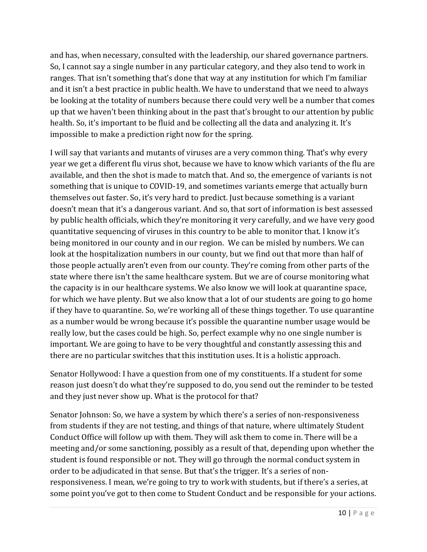and has, when necessary, consulted with the leadership, our shared governance partners. So, I cannot say a single number in any particular category, and they also tend to work in ranges. That isn't something that's done that way at any institution for which I'm familiar and it isn't a best practice in public health. We have to understand that we need to always be looking at the totality of numbers because there could very well be a number that comes up that we haven't been thinking about in the past that's brought to our attention by public health. So, it's important to be fluid and be collecting all the data and analyzing it. It's impossible to make a prediction right now for the spring.

I will say that variants and mutants of viruses are a very common thing. That's why every year we get a different flu virus shot, because we have to know which variants of the flu are available, and then the shot is made to match that. And so, the emergence of variants is not something that is unique to COVID-19, and sometimes variants emerge that actually burn themselves out faster. So, it's very hard to predict. Just because something is a variant doesn't mean that it's a dangerous variant. And so, that sort of information is best assessed by public health officials, which they're monitoring it very carefully, and we have very good quantitative sequencing of viruses in this country to be able to monitor that. I know it's being monitored in our county and in our region. We can be misled by numbers. We can look at the hospitalization numbers in our county, but we find out that more than half of those people actually aren't even from our county. They're coming from other parts of the state where there isn't the same healthcare system. But we are of course monitoring what the capacity is in our healthcare systems. We also know we will look at quarantine space, for which we have plenty. But we also know that a lot of our students are going to go home if they have to quarantine. So, we're working all of these things together. To use quarantine as a number would be wrong because it's possible the quarantine number usage would be really low, but the cases could be high. So, perfect example why no one single number is important. We are going to have to be very thoughtful and constantly assessing this and there are no particular switches that this institution uses. It is a holistic approach.

Senator Hollywood: I have a question from one of my constituents. If a student for some reason just doesn't do what they're supposed to do, you send out the reminder to be tested and they just never show up. What is the protocol for that?

Senator Johnson: So, we have a system by which there's a series of non-responsiveness from students if they are not testing, and things of that nature, where ultimately Student Conduct Office will follow up with them. They will ask them to come in. There will be a meeting and/or some sanctioning, possibly as a result of that, depending upon whether the student is found responsible or not. They will go through the normal conduct system in order to be adjudicated in that sense. But that's the trigger. It's a series of nonresponsiveness. I mean, we're going to try to work with students, but if there's a series, at some point you've got to then come to Student Conduct and be responsible for your actions.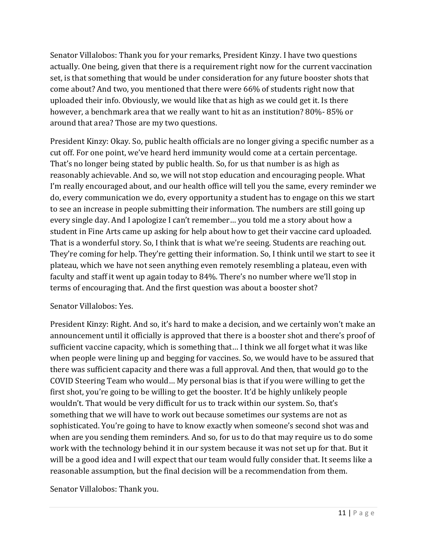Senator Villalobos: Thank you for your remarks, President Kinzy. I have two questions actually. One being, given that there is a requirement right now for the current vaccination set, is that something that would be under consideration for any future booster shots that come about? And two, you mentioned that there were 66% of students right now that uploaded their info. Obviously, we would like that as high as we could get it. Is there however, a benchmark area that we really want to hit as an institution? 80%- 85% or around that area? Those are my two questions.

President Kinzy: Okay. So, public health officials are no longer giving a specific number as a cut off. For one point, we've heard herd immunity would come at a certain percentage. That's no longer being stated by public health. So, for us that number is as high as reasonably achievable. And so, we will not stop education and encouraging people. What I'm really encouraged about, and our health office will tell you the same, every reminder we do, every communication we do, every opportunity a student has to engage on this we start to see an increase in people submitting their information. The numbers are still going up every single day. And I apologize I can't remember… you told me a story about how a student in Fine Arts came up asking for help about how to get their vaccine card uploaded. That is a wonderful story. So, I think that is what we're seeing. Students are reaching out. They're coming for help. They're getting their information. So, I think until we start to see it plateau, which we have not seen anything even remotely resembling a plateau, even with faculty and staff it went up again today to 84%. There's no number where we'll stop in terms of encouraging that. And the first question was about a booster shot?

### Senator Villalobos: Yes.

President Kinzy: Right. And so, it's hard to make a decision, and we certainly won't make an announcement until it officially is approved that there is a booster shot and there's proof of sufficient vaccine capacity, which is something that… I think we all forget what it was like when people were lining up and begging for vaccines. So, we would have to be assured that there was sufficient capacity and there was a full approval. And then, that would go to the COVID Steering Team who would… My personal bias is that if you were willing to get the first shot, you're going to be willing to get the booster. It'd be highly unlikely people wouldn't. That would be very difficult for us to track within our system. So, that's something that we will have to work out because sometimes our systems are not as sophisticated. You're going to have to know exactly when someone's second shot was and when are you sending them reminders. And so, for us to do that may require us to do some work with the technology behind it in our system because it was not set up for that. But it will be a good idea and I will expect that our team would fully consider that. It seems like a reasonable assumption, but the final decision will be a recommendation from them.

Senator Villalobos: Thank you.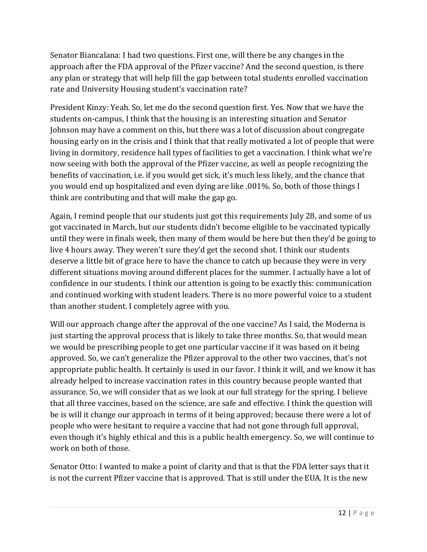Senator Biancalana: I had two questions. First one, will there be any changes in the approach after the FDA approval of the Pfizer vaccine? And the second question, is there any plan or strategy that will help fill the gap between total students enrolled vaccination rate and University Housing student's vaccination rate?

President Kinzy: Yeah. So, let me do the second question first. Yes. Now that we have the students on-campus, I think that the housing is an interesting situation and Senator Johnson may have a comment on this, but there was a lot of discussion about congregate housing early on in the crisis and I think that that really motivated a lot of people that were living in dormitory, residence hall types of facilities to get a vaccination. I think what we're now seeing with both the approval of the Pfizer vaccine, as well as people recognizing the benefits of vaccination, i.e. if you would get sick, it's much less likely, and the chance that you would end up hospitalized and even dying are like .001%. So, both of those things I think are contributing and that will make the gap go.

Again, I remind people that our students just got this requirements July 28, and some of us got vaccinated in March, but our students didn't become eligible to be vaccinated typically until they were in finals week, then many of them would be here but then they'd be going to live 4 hours away. They weren't sure they'd get the second shot. I think our students deserve a little bit of grace here to have the chance to catch up because they were in very different situations moving around different places for the summer. I actually have a lot of confidence in our students. I think our attention is going to be exactly this: communication and continued working with student leaders. There is no more powerful voice to a student than another student. I completely agree with you.

Will our approach change after the approval of the one vaccine? As I said, the Moderna is just starting the approval process that is likely to take three months. So, that would mean we would be prescribing people to get one particular vaccine if it was based on it being approved. So, we can't generalize the Pfizer approval to the other two vaccines, that's not appropriate public health. It certainly is used in our favor. I think it will, and we know it has already helped to increase vaccination rates in this country because people wanted that assurance. So, we will consider that as we look at our full strategy for the spring. I believe that all three vaccines, based on the science, are safe and effective. I think the question will be is will it change our approach in terms of it being approved; because there were a lot of people who were hesitant to require a vaccine that had not gone through full approval, even though it's highly ethical and this is a public health emergency. So, we will continue to work on both of those.

Senator Otto: I wanted to make a point of clarity and that is that the FDA letter says that it is not the current Pfizer vaccine that is approved. That is still under the EUA. It is the new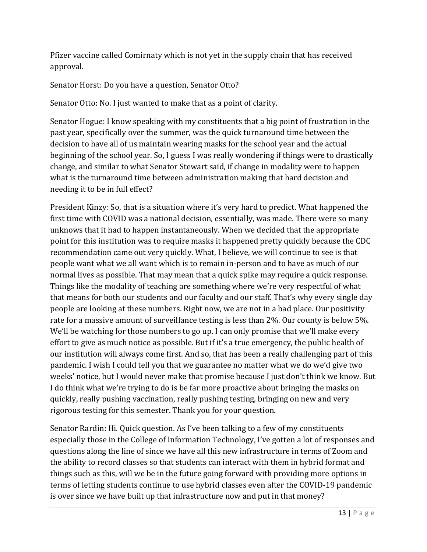Pfizer vaccine called Comirnaty which is not yet in the supply chain that has received approval.

Senator Horst: Do you have a question, Senator Otto?

Senator Otto: No. I just wanted to make that as a point of clarity.

Senator Hogue: I know speaking with my constituents that a big point of frustration in the past year, specifically over the summer, was the quick turnaround time between the decision to have all of us maintain wearing masks for the school year and the actual beginning of the school year. So, I guess I was really wondering if things were to drastically change, and similar to what Senator Stewart said, if change in modality were to happen what is the turnaround time between administration making that hard decision and needing it to be in full effect?

President Kinzy: So, that is a situation where it's very hard to predict. What happened the first time with COVID was a national decision, essentially, was made. There were so many unknows that it had to happen instantaneously. When we decided that the appropriate point for this institution was to require masks it happened pretty quickly because the CDC recommendation came out very quickly. What, I believe, we will continue to see is that people want what we all want which is to remain in-person and to have as much of our normal lives as possible. That may mean that a quick spike may require a quick response. Things like the modality of teaching are something where we're very respectful of what that means for both our students and our faculty and our staff. That's why every single day people are looking at these numbers. Right now, we are not in a bad place. Our positivity rate for a massive amount of surveillance testing is less than 2%. Our county is below 5%. We'll be watching for those numbers to go up. I can only promise that we'll make every effort to give as much notice as possible. But if it's a true emergency, the public health of our institution will always come first. And so, that has been a really challenging part of this pandemic. I wish I could tell you that we guarantee no matter what we do we'd give two weeks' notice, but I would never make that promise because I just don't think we know. But I do think what we're trying to do is be far more proactive about bringing the masks on quickly, really pushing vaccination, really pushing testing, bringing on new and very rigorous testing for this semester. Thank you for your question.

Senator Rardin: Hi. Quick question. As I've been talking to a few of my constituents especially those in the College of Information Technology, I've gotten a lot of responses and questions along the line of since we have all this new infrastructure in terms of Zoom and the ability to record classes so that students can interact with them in hybrid format and things such as this, will we be in the future going forward with providing more options in terms of letting students continue to use hybrid classes even after the COVID-19 pandemic is over since we have built up that infrastructure now and put in that money?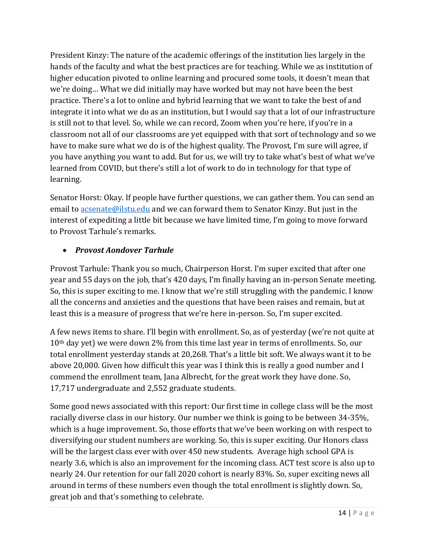President Kinzy: The nature of the academic offerings of the institution lies largely in the hands of the faculty and what the best practices are for teaching. While we as institution of higher education pivoted to online learning and procured some tools, it doesn't mean that we're doing… What we did initially may have worked but may not have been the best practice. There's a lot to online and hybrid learning that we want to take the best of and integrate it into what we do as an institution, but I would say that a lot of our infrastructure is still not to that level. So, while we can record, Zoom when you're here, if you're in a classroom not all of our classrooms are yet equipped with that sort of technology and so we have to make sure what we do is of the highest quality. The Provost, I'm sure will agree, if you have anything you want to add. But for us, we will try to take what's best of what we've learned from COVID, but there's still a lot of work to do in technology for that type of learning.

Senator Horst: Okay. If people have further questions, we can gather them. You can send an email to [acsenate@ilstu.edu](mailto:acsenate@ilstu.edu) and we can forward them to Senator Kinzy. But just in the interest of expediting a little bit because we have limited time, I'm going to move forward to Provost Tarhule's remarks.

# • *Provost Aondover Tarhule*

Provost Tarhule: Thank you so much, Chairperson Horst. I'm super excited that after one year and 55 days on the job, that's 420 days, I'm finally having an in-person Senate meeting. So, this is super exciting to me. I know that we're still struggling with the pandemic. I know all the concerns and anxieties and the questions that have been raises and remain, but at least this is a measure of progress that we're here in-person. So, I'm super excited.

A few news items to share. I'll begin with enrollment. So, as of yesterday (we're not quite at  $10<sup>th</sup>$  day yet) we were down 2% from this time last year in terms of enrollments. So, our total enrollment yesterday stands at 20,268. That's a little bit soft. We always want it to be above 20,000. Given how difficult this year was I think this is really a good number and I commend the enrollment team, Jana Albrecht, for the great work they have done. So, 17,717 undergraduate and 2,552 graduate students.

Some good news associated with this report: Our first time in college class will be the most racially diverse class in our history. Our number we think is going to be between 34-35%, which is a huge improvement. So, those efforts that we've been working on with respect to diversifying our student numbers are working. So, this is super exciting. Our Honors class will be the largest class ever with over 450 new students. Average high school GPA is nearly 3.6, which is also an improvement for the incoming class. ACT test score is also up to nearly 24. Our retention for our fall 2020 cohort is nearly 83%. So, super exciting news all around in terms of these numbers even though the total enrollment is slightly down. So, great job and that's something to celebrate.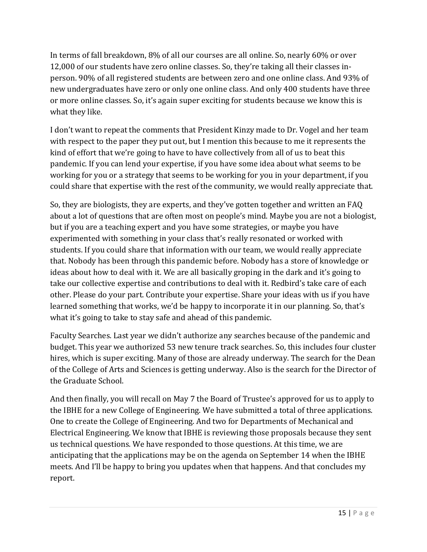In terms of fall breakdown, 8% of all our courses are all online. So, nearly 60% or over 12,000 of our students have zero online classes. So, they're taking all their classes inperson. 90% of all registered students are between zero and one online class. And 93% of new undergraduates have zero or only one online class. And only 400 students have three or more online classes. So, it's again super exciting for students because we know this is what they like.

I don't want to repeat the comments that President Kinzy made to Dr. Vogel and her team with respect to the paper they put out, but I mention this because to me it represents the kind of effort that we're going to have to have collectively from all of us to beat this pandemic. If you can lend your expertise, if you have some idea about what seems to be working for you or a strategy that seems to be working for you in your department, if you could share that expertise with the rest of the community, we would really appreciate that.

So, they are biologists, they are experts, and they've gotten together and written an FAQ about a lot of questions that are often most on people's mind. Maybe you are not a biologist, but if you are a teaching expert and you have some strategies, or maybe you have experimented with something in your class that's really resonated or worked with students. If you could share that information with our team, we would really appreciate that. Nobody has been through this pandemic before. Nobody has a store of knowledge or ideas about how to deal with it. We are all basically groping in the dark and it's going to take our collective expertise and contributions to deal with it. Redbird's take care of each other. Please do your part. Contribute your expertise. Share your ideas with us if you have learned something that works, we'd be happy to incorporate it in our planning. So, that's what it's going to take to stay safe and ahead of this pandemic.

Faculty Searches. Last year we didn't authorize any searches because of the pandemic and budget. This year we authorized 53 new tenure track searches. So, this includes four cluster hires, which is super exciting. Many of those are already underway. The search for the Dean of the College of Arts and Sciences is getting underway. Also is the search for the Director of the Graduate School.

And then finally, you will recall on May 7 the Board of Trustee's approved for us to apply to the IBHE for a new College of Engineering. We have submitted a total of three applications. One to create the College of Engineering. And two for Departments of Mechanical and Electrical Engineering. We know that IBHE is reviewing those proposals because they sent us technical questions. We have responded to those questions. At this time, we are anticipating that the applications may be on the agenda on September 14 when the IBHE meets. And I'll be happy to bring you updates when that happens. And that concludes my report.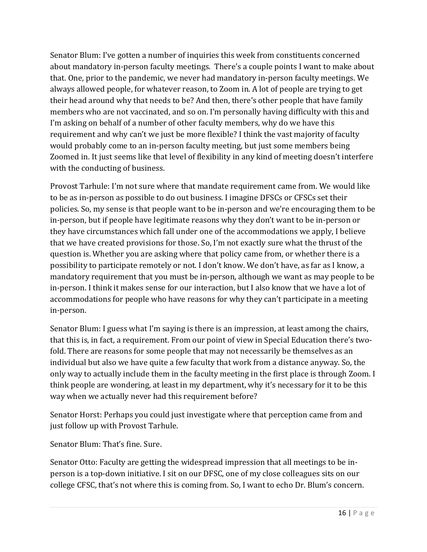Senator Blum: I've gotten a number of inquiries this week from constituents concerned about mandatory in-person faculty meetings. There's a couple points I want to make about that. One, prior to the pandemic, we never had mandatory in-person faculty meetings. We always allowed people, for whatever reason, to Zoom in. A lot of people are trying to get their head around why that needs to be? And then, there's other people that have family members who are not vaccinated, and so on. I'm personally having difficulty with this and I'm asking on behalf of a number of other faculty members, why do we have this requirement and why can't we just be more flexible? I think the vast majority of faculty would probably come to an in-person faculty meeting, but just some members being Zoomed in. It just seems like that level of flexibility in any kind of meeting doesn't interfere with the conducting of business.

Provost Tarhule: I'm not sure where that mandate requirement came from. We would like to be as in-person as possible to do out business. I imagine DFSCs or CFSCs set their policies. So, my sense is that people want to be in-person and we're encouraging them to be in-person, but if people have legitimate reasons why they don't want to be in-person or they have circumstances which fall under one of the accommodations we apply, I believe that we have created provisions for those. So, I'm not exactly sure what the thrust of the question is. Whether you are asking where that policy came from, or whether there is a possibility to participate remotely or not. I don't know. We don't have, as far as I know, a mandatory requirement that you must be in-person, although we want as may people to be in-person. I think it makes sense for our interaction, but I also know that we have a lot of accommodations for people who have reasons for why they can't participate in a meeting in-person.

Senator Blum: I guess what I'm saying is there is an impression, at least among the chairs, that this is, in fact, a requirement. From our point of view in Special Education there's twofold. There are reasons for some people that may not necessarily be themselves as an individual but also we have quite a few faculty that work from a distance anyway. So, the only way to actually include them in the faculty meeting in the first place is through Zoom. I think people are wondering, at least in my department, why it's necessary for it to be this way when we actually never had this requirement before?

Senator Horst: Perhaps you could just investigate where that perception came from and just follow up with Provost Tarhule.

Senator Blum: That's fine. Sure.

Senator Otto: Faculty are getting the widespread impression that all meetings to be inperson is a top-down initiative. I sit on our DFSC, one of my close colleagues sits on our college CFSC, that's not where this is coming from. So, I want to echo Dr. Blum's concern.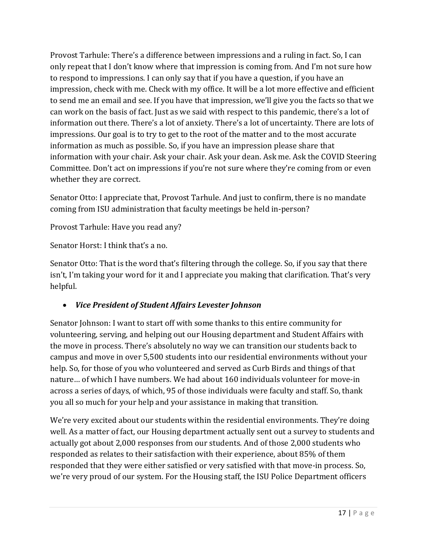Provost Tarhule: There's a difference between impressions and a ruling in fact. So, I can only repeat that I don't know where that impression is coming from. And I'm not sure how to respond to impressions. I can only say that if you have a question, if you have an impression, check with me. Check with my office. It will be a lot more effective and efficient to send me an email and see. If you have that impression, we'll give you the facts so that we can work on the basis of fact. Just as we said with respect to this pandemic, there's a lot of information out there. There's a lot of anxiety. There's a lot of uncertainty. There are lots of impressions. Our goal is to try to get to the root of the matter and to the most accurate information as much as possible. So, if you have an impression please share that information with your chair. Ask your chair. Ask your dean. Ask me. Ask the COVID Steering Committee. Don't act on impressions if you're not sure where they're coming from or even whether they are correct.

Senator Otto: I appreciate that, Provost Tarhule. And just to confirm, there is no mandate coming from ISU administration that faculty meetings be held in-person?

Provost Tarhule: Have you read any?

Senator Horst: I think that's a no.

Senator Otto: That is the word that's filtering through the college. So, if you say that there isn't, I'm taking your word for it and I appreciate you making that clarification. That's very helpful.

# • *Vice President of Student Affairs Levester Johnson*

Senator Johnson: I want to start off with some thanks to this entire community for volunteering, serving, and helping out our Housing department and Student Affairs with the move in process. There's absolutely no way we can transition our students back to campus and move in over 5,500 students into our residential environments without your help. So, for those of you who volunteered and served as Curb Birds and things of that nature… of which I have numbers. We had about 160 individuals volunteer for move-in across a series of days, of which, 95 of those individuals were faculty and staff. So, thank you all so much for your help and your assistance in making that transition.

We're very excited about our students within the residential environments. They're doing well. As a matter of fact, our Housing department actually sent out a survey to students and actually got about 2,000 responses from our students. And of those 2,000 students who responded as relates to their satisfaction with their experience, about 85% of them responded that they were either satisfied or very satisfied with that move-in process. So, we're very proud of our system. For the Housing staff, the ISU Police Department officers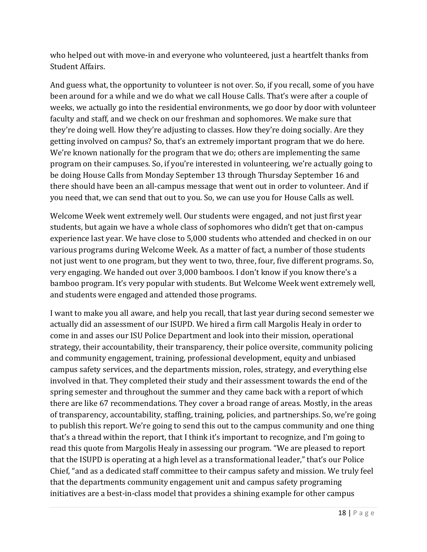who helped out with move-in and everyone who volunteered, just a heartfelt thanks from Student Affairs.

And guess what, the opportunity to volunteer is not over. So, if you recall, some of you have been around for a while and we do what we call House Calls. That's were after a couple of weeks, we actually go into the residential environments, we go door by door with volunteer faculty and staff, and we check on our freshman and sophomores. We make sure that they're doing well. How they're adjusting to classes. How they're doing socially. Are they getting involved on campus? So, that's an extremely important program that we do here. We're known nationally for the program that we do; others are implementing the same program on their campuses. So, if you're interested in volunteering, we're actually going to be doing House Calls from Monday September 13 through Thursday September 16 and there should have been an all-campus message that went out in order to volunteer. And if you need that, we can send that out to you. So, we can use you for House Calls as well.

Welcome Week went extremely well. Our students were engaged, and not just first year students, but again we have a whole class of sophomores who didn't get that on-campus experience last year. We have close to 5,000 students who attended and checked in on our various programs during Welcome Week. As a matter of fact, a number of those students not just went to one program, but they went to two, three, four, five different programs. So, very engaging. We handed out over 3,000 bamboos. I don't know if you know there's a bamboo program. It's very popular with students. But Welcome Week went extremely well, and students were engaged and attended those programs.

I want to make you all aware, and help you recall, that last year during second semester we actually did an assessment of our ISUPD. We hired a firm call Margolis Healy in order to come in and asses our ISU Police Department and look into their mission, operational strategy, their accountability, their transparency, their police oversite, community policing and community engagement, training, professional development, equity and unbiased campus safety services, and the departments mission, roles, strategy, and everything else involved in that. They completed their study and their assessment towards the end of the spring semester and throughout the summer and they came back with a report of which there are like 67 recommendations. They cover a broad range of areas. Mostly, in the areas of transparency, accountability, staffing, training, policies, and partnerships. So, we're going to publish this report. We're going to send this out to the campus community and one thing that's a thread within the report, that I think it's important to recognize, and I'm going to read this quote from Margolis Healy in assessing our program. "We are pleased to report that the ISUPD is operating at a high level as a transformational leader," that's our Police Chief, "and as a dedicated staff committee to their campus safety and mission. We truly feel that the departments community engagement unit and campus safety programing initiatives are a best-in-class model that provides a shining example for other campus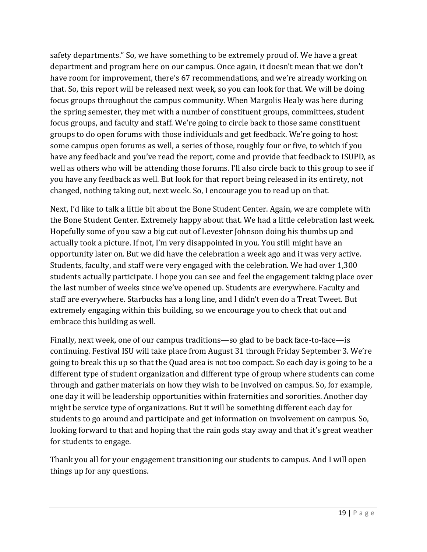safety departments." So, we have something to be extremely proud of. We have a great department and program here on our campus. Once again, it doesn't mean that we don't have room for improvement, there's 67 recommendations, and we're already working on that. So, this report will be released next week, so you can look for that. We will be doing focus groups throughout the campus community. When Margolis Healy was here during the spring semester, they met with a number of constituent groups, committees, student focus groups, and faculty and staff. We're going to circle back to those same constituent groups to do open forums with those individuals and get feedback. We're going to host some campus open forums as well, a series of those, roughly four or five, to which if you have any feedback and you've read the report, come and provide that feedback to ISUPD, as well as others who will be attending those forums. I'll also circle back to this group to see if you have any feedback as well. But look for that report being released in its entirety, not changed, nothing taking out, next week. So, I encourage you to read up on that.

Next, I'd like to talk a little bit about the Bone Student Center. Again, we are complete with the Bone Student Center. Extremely happy about that. We had a little celebration last week. Hopefully some of you saw a big cut out of Levester Johnson doing his thumbs up and actually took a picture. If not, I'm very disappointed in you. You still might have an opportunity later on. But we did have the celebration a week ago and it was very active. Students, faculty, and staff were very engaged with the celebration. We had over 1,300 students actually participate. I hope you can see and feel the engagement taking place over the last number of weeks since we've opened up. Students are everywhere. Faculty and staff are everywhere. Starbucks has a long line, and I didn't even do a Treat Tweet. But extremely engaging within this building, so we encourage you to check that out and embrace this building as well.

Finally, next week, one of our campus traditions—so glad to be back face-to-face—is continuing. Festival ISU will take place from August 31 through Friday September 3. We're going to break this up so that the Quad area is not too compact. So each day is going to be a different type of student organization and different type of group where students can come through and gather materials on how they wish to be involved on campus. So, for example, one day it will be leadership opportunities within fraternities and sororities. Another day might be service type of organizations. But it will be something different each day for students to go around and participate and get information on involvement on campus. So, looking forward to that and hoping that the rain gods stay away and that it's great weather for students to engage.

Thank you all for your engagement transitioning our students to campus. And I will open things up for any questions.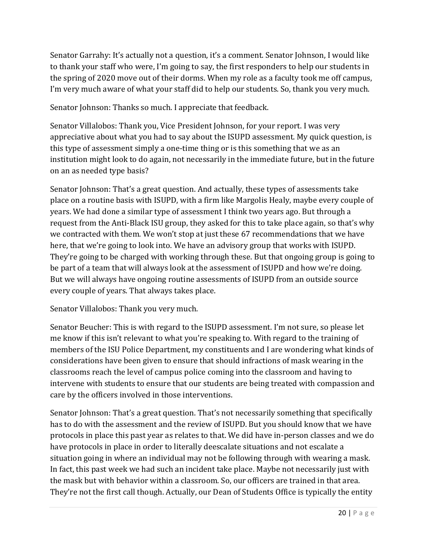Senator Garrahy: It's actually not a question, it's a comment. Senator Johnson, I would like to thank your staff who were, I'm going to say, the first responders to help our students in the spring of 2020 move out of their dorms. When my role as a faculty took me off campus, I'm very much aware of what your staff did to help our students. So, thank you very much.

Senator Johnson: Thanks so much. I appreciate that feedback.

Senator Villalobos: Thank you, Vice President Johnson, for your report. I was very appreciative about what you had to say about the ISUPD assessment. My quick question, is this type of assessment simply a one-time thing or is this something that we as an institution might look to do again, not necessarily in the immediate future, but in the future on an as needed type basis?

Senator Johnson: That's a great question. And actually, these types of assessments take place on a routine basis with ISUPD, with a firm like Margolis Healy, maybe every couple of years. We had done a similar type of assessment I think two years ago. But through a request from the Anti-Black ISU group, they asked for this to take place again, so that's why we contracted with them. We won't stop at just these 67 recommendations that we have here, that we're going to look into. We have an advisory group that works with ISUPD. They're going to be charged with working through these. But that ongoing group is going to be part of a team that will always look at the assessment of ISUPD and how we're doing. But we will always have ongoing routine assessments of ISUPD from an outside source every couple of years. That always takes place.

Senator Villalobos: Thank you very much.

Senator Beucher: This is with regard to the ISUPD assessment. I'm not sure, so please let me know if this isn't relevant to what you're speaking to. With regard to the training of members of the ISU Police Department, my constituents and I are wondering what kinds of considerations have been given to ensure that should infractions of mask wearing in the classrooms reach the level of campus police coming into the classroom and having to intervene with students to ensure that our students are being treated with compassion and care by the officers involved in those interventions.

Senator Johnson: That's a great question. That's not necessarily something that specifically has to do with the assessment and the review of ISUPD. But you should know that we have protocols in place this past year as relates to that. We did have in-person classes and we do have protocols in place in order to literally deescalate situations and not escalate a situation going in where an individual may not be following through with wearing a mask. In fact, this past week we had such an incident take place. Maybe not necessarily just with the mask but with behavior within a classroom. So, our officers are trained in that area. They're not the first call though. Actually, our Dean of Students Office is typically the entity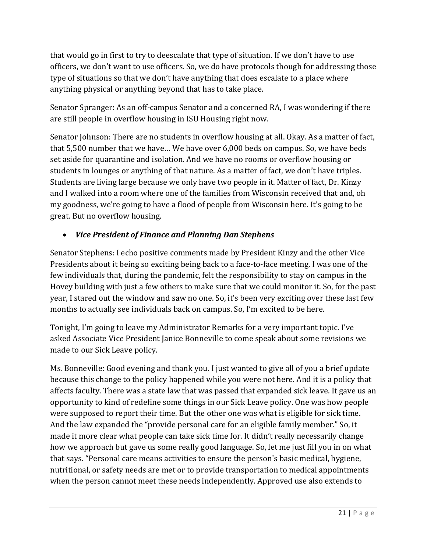that would go in first to try to deescalate that type of situation. If we don't have to use officers, we don't want to use officers. So, we do have protocols though for addressing those type of situations so that we don't have anything that does escalate to a place where anything physical or anything beyond that has to take place.

Senator Spranger: As an off-campus Senator and a concerned RA, I was wondering if there are still people in overflow housing in ISU Housing right now.

Senator Johnson: There are no students in overflow housing at all. Okay. As a matter of fact, that 5,500 number that we have… We have over 6,000 beds on campus. So, we have beds set aside for quarantine and isolation. And we have no rooms or overflow housing or students in lounges or anything of that nature. As a matter of fact, we don't have triples. Students are living large because we only have two people in it. Matter of fact, Dr. Kinzy and I walked into a room where one of the families from Wisconsin received that and, oh my goodness, we're going to have a flood of people from Wisconsin here. It's going to be great. But no overflow housing.

## • *Vice President of Finance and Planning Dan Stephens*

Senator Stephens: I echo positive comments made by President Kinzy and the other Vice Presidents about it being so exciting being back to a face-to-face meeting. I was one of the few individuals that, during the pandemic, felt the responsibility to stay on campus in the Hovey building with just a few others to make sure that we could monitor it. So, for the past year, I stared out the window and saw no one. So, it's been very exciting over these last few months to actually see individuals back on campus. So, I'm excited to be here.

Tonight, I'm going to leave my Administrator Remarks for a very important topic. I've asked Associate Vice President Janice Bonneville to come speak about some revisions we made to our Sick Leave policy.

Ms. Bonneville: Good evening and thank you. I just wanted to give all of you a brief update because this change to the policy happened while you were not here. And it is a policy that affects faculty. There was a state law that was passed that expanded sick leave. It gave us an opportunity to kind of redefine some things in our Sick Leave policy. One was how people were supposed to report their time. But the other one was what is eligible for sick time. And the law expanded the "provide personal care for an eligible family member." So, it made it more clear what people can take sick time for. It didn't really necessarily change how we approach but gave us some really good language. So, let me just fill you in on what that says. "Personal care means activities to ensure the person's basic medical, hygiene, nutritional, or safety needs are met or to provide transportation to medical appointments when the person cannot meet these needs independently. Approved use also extends to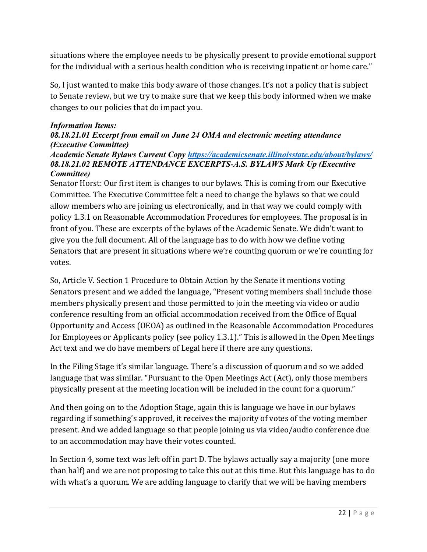situations where the employee needs to be physically present to provide emotional support for the individual with a serious health condition who is receiving inpatient or home care."

So, I just wanted to make this body aware of those changes. It's not a policy that is subject to Senate review, but we try to make sure that we keep this body informed when we make changes to our policies that do impact you.

### *Information Items:*

### *08.18.21.01 Excerpt from email on June 24 OMA and electronic meeting attendance (Executive Committee)*

#### *Academic Senate Bylaws Current Copy <https://academicsenate.illinoisstate.edu/about/bylaws/> 08.18.21.02 REMOTE ATTENDANCE EXCERPTS-A.S. BYLAWS Mark Up (Executive Committee)*

Senator Horst: Our first item is changes to our bylaws. This is coming from our Executive Committee. The Executive Committee felt a need to change the bylaws so that we could allow members who are joining us electronically, and in that way we could comply with policy 1.3.1 on Reasonable Accommodation Procedures for employees. The proposal is in front of you. These are excerpts of the bylaws of the Academic Senate. We didn't want to give you the full document. All of the language has to do with how we define voting Senators that are present in situations where we're counting quorum or we're counting for votes.

So, Article V. Section 1 Procedure to Obtain Action by the Senate it mentions voting Senators present and we added the language, "Present voting members shall include those members physically present and those permitted to join the meeting via video or audio conference resulting from an official accommodation received from the Office of Equal Opportunity and Access (OEOA) as outlined in the Reasonable Accommodation Procedures for Employees or Applicants policy (see policy 1.3.1)." This is allowed in the Open Meetings Act text and we do have members of Legal here if there are any questions.

In the Filing Stage it's similar language. There's a discussion of quorum and so we added language that was similar. "Pursuant to the Open Meetings Act (Act), only those members physically present at the meeting location will be included in the count for a quorum."

And then going on to the Adoption Stage, again this is language we have in our bylaws regarding if something's approved, it receives the majority of votes of the voting member present. And we added language so that people joining us via video/audio conference due to an accommodation may have their votes counted.

In Section 4, some text was left off in part D. The bylaws actually say a majority (one more than half) and we are not proposing to take this out at this time. But this language has to do with what's a quorum. We are adding language to clarify that we will be having members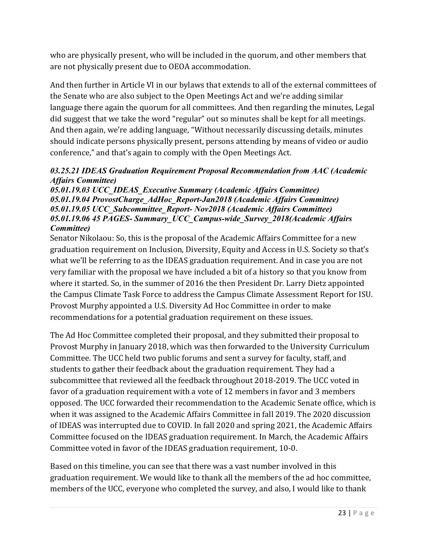who are physically present, who will be included in the quorum, and other members that are not physically present due to OEOA accommodation.

And then further in Article VI in our bylaws that extends to all of the external committees of the Senate who are also subject to the Open Meetings Act and we're adding similar language there again the quorum for all committees. And then regarding the minutes, Legal did suggest that we take the word "regular" out so minutes shall be kept for all meetings. And then again, we're adding language, "Without necessarily discussing details, minutes should indicate persons physically present, persons attending by means of video or audio conference," and that's again to comply with the Open Meetings Act.

### *03.25.21 IDEAS Graduation Requirement Proposal Recommendation from AAC (Academic Affairs Committee)*

*05.01.19.03 UCC\_IDEAS\_Executive Summary (Academic Affairs Committee) 05.01.19.04 ProvostCharge\_AdHoc\_Report-Jan2018 (Academic Affairs Committee) 05.01.19.05 UCC\_Subcommittee\_Report- Nov2018 (Academic Affairs Committee) 05.01.19.06 45 PAGES- Summary\_UCC\_Campus-wide\_Survey\_2018(Academic Affairs Committee)*

Senator Nikolaou: So, this is the proposal of the Academic Affairs Committee for a new graduation requirement on Inclusion, Diversity, Equity and Access in U.S. Society so that's what we'll be referring to as the IDEAS graduation requirement. And in case you are not very familiar with the proposal we have included a bit of a history so that you know from where it started. So, in the summer of 2016 the then President Dr. Larry Dietz appointed the Campus Climate Task Force to address the Campus Climate Assessment Report for ISU. Provost Murphy appointed a U.S. Diversity Ad Hoc Committee in order to make recommendations for a potential graduation requirement on these issues.

The Ad Hoc Committee completed their proposal, and they submitted their proposal to Provost Murphy in January 2018, which was then forwarded to the University Curriculum Committee. The UCC held two public forums and sent a survey for faculty, staff, and students to gather their feedback about the graduation requirement. They had a subcommittee that reviewed all the feedback throughout 2018-2019. The UCC voted in favor of a graduation requirement with a vote of 12 members in favor and 3 members opposed. The UCC forwarded their recommendation to the Academic Senate office, which is when it was assigned to the Academic Affairs Committee in fall 2019. The 2020 discussion of IDEAS was interrupted due to COVID. In fall 2020 and spring 2021, the Academic Affairs Committee focused on the IDEAS graduation requirement. In March, the Academic Affairs Committee voted in favor of the IDEAS graduation requirement, 10-0.

Based on this timeline, you can see that there was a vast number involved in this graduation requirement. We would like to thank all the members of the ad hoc committee, members of the UCC, everyone who completed the survey, and also, I would like to thank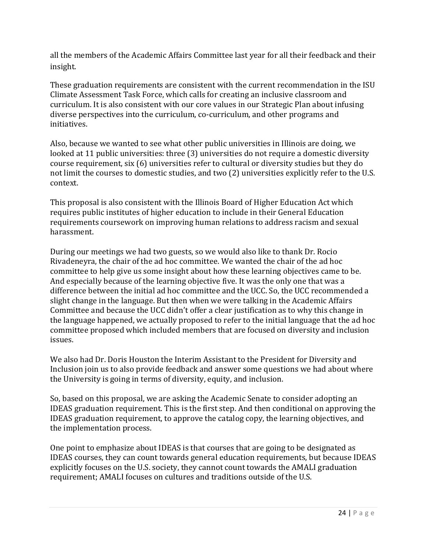all the members of the Academic Affairs Committee last year for all their feedback and their insight.

These graduation requirements are consistent with the current recommendation in the ISU Climate Assessment Task Force, which calls for creating an inclusive classroom and curriculum. It is also consistent with our core values in our Strategic Plan about infusing diverse perspectives into the curriculum, co-curriculum, and other programs and initiatives.

Also, because we wanted to see what other public universities in Illinois are doing, we looked at 11 public universities: three (3) universities do not require a domestic diversity course requirement, six (6) universities refer to cultural or diversity studies but they do not limit the courses to domestic studies, and two (2) universities explicitly refer to the U.S. context.

This proposal is also consistent with the Illinois Board of Higher Education Act which requires public institutes of higher education to include in their General Education requirements coursework on improving human relations to address racism and sexual harassment.

During our meetings we had two guests, so we would also like to thank Dr. Rocio Rivadeneyra, the chair of the ad hoc committee. We wanted the chair of the ad hoc committee to help give us some insight about how these learning objectives came to be. And especially because of the learning objective five. It was the only one that was a difference between the initial ad hoc committee and the UCC. So, the UCC recommended a slight change in the language. But then when we were talking in the Academic Affairs Committee and because the UCC didn't offer a clear justification as to why this change in the language happened, we actually proposed to refer to the initial language that the ad hoc committee proposed which included members that are focused on diversity and inclusion issues.

We also had Dr. Doris Houston the Interim Assistant to the President for Diversity and Inclusion join us to also provide feedback and answer some questions we had about where the University is going in terms of diversity, equity, and inclusion.

So, based on this proposal, we are asking the Academic Senate to consider adopting an IDEAS graduation requirement. This is the first step. And then conditional on approving the IDEAS graduation requirement, to approve the catalog copy, the learning objectives, and the implementation process.

One point to emphasize about IDEAS is that courses that are going to be designated as IDEAS courses, they can count towards general education requirements, but because IDEAS explicitly focuses on the U.S. society, they cannot count towards the AMALI graduation requirement; AMALI focuses on cultures and traditions outside of the U.S.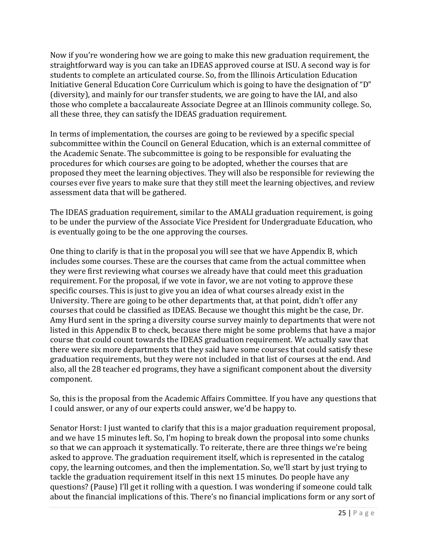Now if you're wondering how we are going to make this new graduation requirement, the straightforward way is you can take an IDEAS approved course at ISU. A second way is for students to complete an articulated course. So, from the Illinois Articulation Education Initiative General Education Core Curriculum which is going to have the designation of "D" (diversity), and mainly for our transfer students, we are going to have the IAI, and also those who complete a baccalaureate Associate Degree at an Illinois community college. So, all these three, they can satisfy the IDEAS graduation requirement.

In terms of implementation, the courses are going to be reviewed by a specific special subcommittee within the Council on General Education, which is an external committee of the Academic Senate. The subcommittee is going to be responsible for evaluating the procedures for which courses are going to be adopted, whether the courses that are proposed they meet the learning objectives. They will also be responsible for reviewing the courses ever five years to make sure that they still meet the learning objectives, and review assessment data that will be gathered.

The IDEAS graduation requirement, similar to the AMALI graduation requirement, is going to be under the purview of the Associate Vice President for Undergraduate Education, who is eventually going to be the one approving the courses.

One thing to clarify is that in the proposal you will see that we have Appendix B, which includes some courses. These are the courses that came from the actual committee when they were first reviewing what courses we already have that could meet this graduation requirement. For the proposal, if we vote in favor, we are not voting to approve these specific courses. This is just to give you an idea of what courses already exist in the University. There are going to be other departments that, at that point, didn't offer any courses that could be classified as IDEAS. Because we thought this might be the case, Dr. Amy Hurd sent in the spring a diversity course survey mainly to departments that were not listed in this Appendix B to check, because there might be some problems that have a major course that could count towards the IDEAS graduation requirement. We actually saw that there were six more departments that they said have some courses that could satisfy these graduation requirements, but they were not included in that list of courses at the end. And also, all the 28 teacher ed programs, they have a significant component about the diversity component.

So, this is the proposal from the Academic Affairs Committee. If you have any questions that I could answer, or any of our experts could answer, we'd be happy to.

Senator Horst: I just wanted to clarify that this is a major graduation requirement proposal, and we have 15 minutes left. So, I'm hoping to break down the proposal into some chunks so that we can approach it systematically. To reiterate, there are three things we're being asked to approve. The graduation requirement itself, which is represented in the catalog copy, the learning outcomes, and then the implementation. So, we'll start by just trying to tackle the graduation requirement itself in this next 15 minutes. Do people have any questions? (Pause) I'll get it rolling with a question. I was wondering if someone could talk about the financial implications of this. There's no financial implications form or any sort of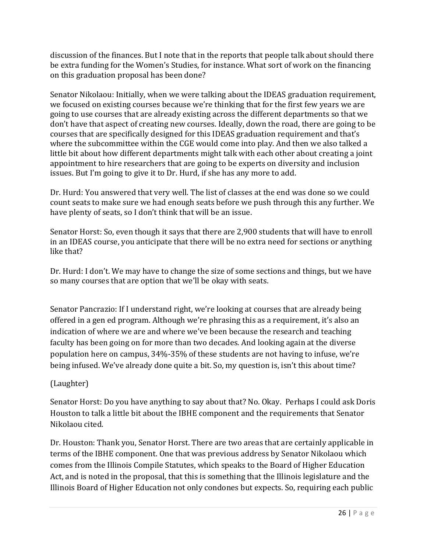discussion of the finances. But I note that in the reports that people talk about should there be extra funding for the Women's Studies, for instance. What sort of work on the financing on this graduation proposal has been done?

Senator Nikolaou: Initially, when we were talking about the IDEAS graduation requirement, we focused on existing courses because we're thinking that for the first few years we are going to use courses that are already existing across the different departments so that we don't have that aspect of creating new courses. Ideally, down the road, there are going to be courses that are specifically designed for this IDEAS graduation requirement and that's where the subcommittee within the CGE would come into play. And then we also talked a little bit about how different departments might talk with each other about creating a joint appointment to hire researchers that are going to be experts on diversity and inclusion issues. But I'm going to give it to Dr. Hurd, if she has any more to add.

Dr. Hurd: You answered that very well. The list of classes at the end was done so we could count seats to make sure we had enough seats before we push through this any further. We have plenty of seats, so I don't think that will be an issue.

Senator Horst: So, even though it says that there are 2,900 students that will have to enroll in an IDEAS course, you anticipate that there will be no extra need for sections or anything like that?

Dr. Hurd: I don't. We may have to change the size of some sections and things, but we have so many courses that are option that we'll be okay with seats.

Senator Pancrazio: If I understand right, we're looking at courses that are already being offered in a gen ed program. Although we're phrasing this as a requirement, it's also an indication of where we are and where we've been because the research and teaching faculty has been going on for more than two decades. And looking again at the diverse population here on campus, 34%-35% of these students are not having to infuse, we're being infused. We've already done quite a bit. So, my question is, isn't this about time?

### (Laughter)

Senator Horst: Do you have anything to say about that? No. Okay. Perhaps I could ask Doris Houston to talk a little bit about the IBHE component and the requirements that Senator Nikolaou cited.

Dr. Houston: Thank you, Senator Horst. There are two areas that are certainly applicable in terms of the IBHE component. One that was previous address by Senator Nikolaou which comes from the Illinois Compile Statutes, which speaks to the Board of Higher Education Act, and is noted in the proposal, that this is something that the Illinois legislature and the Illinois Board of Higher Education not only condones but expects. So, requiring each public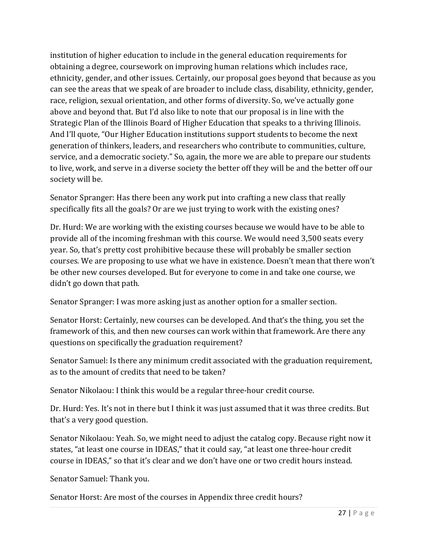institution of higher education to include in the general education requirements for obtaining a degree, coursework on improving human relations which includes race, ethnicity, gender, and other issues. Certainly, our proposal goes beyond that because as you can see the areas that we speak of are broader to include class, disability, ethnicity, gender, race, religion, sexual orientation, and other forms of diversity. So, we've actually gone above and beyond that. But I'd also like to note that our proposal is in line with the Strategic Plan of the Illinois Board of Higher Education that speaks to a thriving Illinois. And I'll quote, "Our Higher Education institutions support students to become the next generation of thinkers, leaders, and researchers who contribute to communities, culture, service, and a democratic society." So, again, the more we are able to prepare our students to live, work, and serve in a diverse society the better off they will be and the better off our society will be.

Senator Spranger: Has there been any work put into crafting a new class that really specifically fits all the goals? Or are we just trying to work with the existing ones?

Dr. Hurd: We are working with the existing courses because we would have to be able to provide all of the incoming freshman with this course. We would need 3,500 seats every year. So, that's pretty cost prohibitive because these will probably be smaller section courses. We are proposing to use what we have in existence. Doesn't mean that there won't be other new courses developed. But for everyone to come in and take one course, we didn't go down that path.

Senator Spranger: I was more asking just as another option for a smaller section.

Senator Horst: Certainly, new courses can be developed. And that's the thing, you set the framework of this, and then new courses can work within that framework. Are there any questions on specifically the graduation requirement?

Senator Samuel: Is there any minimum credit associated with the graduation requirement, as to the amount of credits that need to be taken?

Senator Nikolaou: I think this would be a regular three-hour credit course.

Dr. Hurd: Yes. It's not in there but I think it was just assumed that it was three credits. But that's a very good question.

Senator Nikolaou: Yeah. So, we might need to adjust the catalog copy. Because right now it states, "at least one course in IDEAS," that it could say, "at least one three-hour credit course in IDEAS," so that it's clear and we don't have one or two credit hours instead.

Senator Samuel: Thank you.

Senator Horst: Are most of the courses in Appendix three credit hours?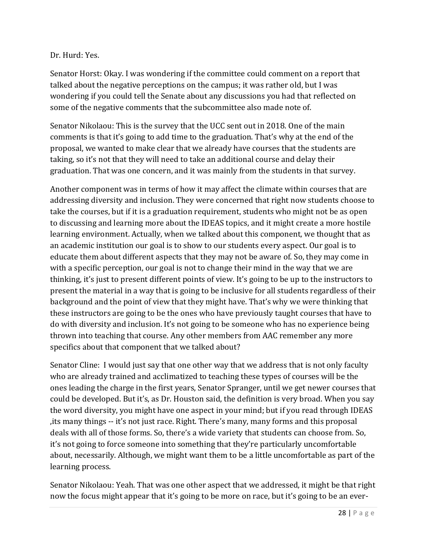#### Dr. Hurd: Yes.

Senator Horst: Okay. I was wondering if the committee could comment on a report that talked about the negative perceptions on the campus; it was rather old, but I was wondering if you could tell the Senate about any discussions you had that reflected on some of the negative comments that the subcommittee also made note of.

Senator Nikolaou: This is the survey that the UCC sent out in 2018. One of the main comments is that it's going to add time to the graduation. That's why at the end of the proposal, we wanted to make clear that we already have courses that the students are taking, so it's not that they will need to take an additional course and delay their graduation. That was one concern, and it was mainly from the students in that survey.

Another component was in terms of how it may affect the climate within courses that are addressing diversity and inclusion. They were concerned that right now students choose to take the courses, but if it is a graduation requirement, students who might not be as open to discussing and learning more about the IDEAS topics, and it might create a more hostile learning environment. Actually, when we talked about this component, we thought that as an academic institution our goal is to show to our students every aspect. Our goal is to educate them about different aspects that they may not be aware of. So, they may come in with a specific perception, our goal is not to change their mind in the way that we are thinking, it's just to present different points of view. It's going to be up to the instructors to present the material in a way that is going to be inclusive for all students regardless of their background and the point of view that they might have. That's why we were thinking that these instructors are going to be the ones who have previously taught courses that have to do with diversity and inclusion. It's not going to be someone who has no experience being thrown into teaching that course. Any other members from AAC remember any more specifics about that component that we talked about?

Senator Cline: I would just say that one other way that we address that is not only faculty who are already trained and acclimatized to teaching these types of courses will be the ones leading the charge in the first years, Senator Spranger, until we get newer courses that could be developed. But it's, as Dr. Houston said, the definition is very broad. When you say the word diversity, you might have one aspect in your mind; but if you read through IDEAS ,its many things -- it's not just race. Right. There's many, many forms and this proposal deals with all of those forms. So, there's a wide variety that students can choose from. So, it's not going to force someone into something that they're particularly uncomfortable about, necessarily. Although, we might want them to be a little uncomfortable as part of the learning process.

Senator Nikolaou: Yeah. That was one other aspect that we addressed, it might be that right now the focus might appear that it's going to be more on race, but it's going to be an ever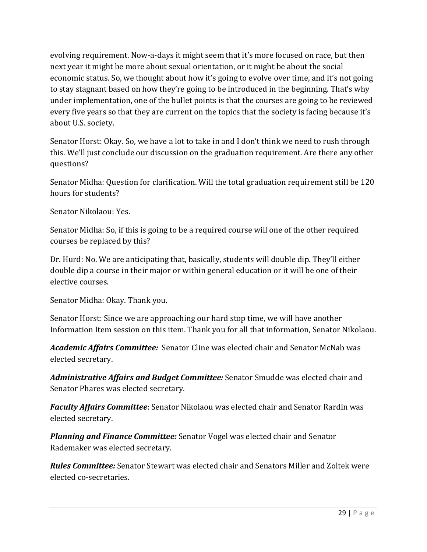evolving requirement. Now-a-days it might seem that it's more focused on race, but then next year it might be more about sexual orientation, or it might be about the social economic status. So, we thought about how it's going to evolve over time, and it's not going to stay stagnant based on how they're going to be introduced in the beginning. That's why under implementation, one of the bullet points is that the courses are going to be reviewed every five years so that they are current on the topics that the society is facing because it's about U.S. society.

Senator Horst: Okay. So, we have a lot to take in and I don't think we need to rush through this. We'll just conclude our discussion on the graduation requirement. Are there any other questions?

Senator Midha: Question for clarification. Will the total graduation requirement still be 120 hours for students?

Senator Nikolaou: Yes.

Senator Midha: So, if this is going to be a required course will one of the other required courses be replaced by this?

Dr. Hurd: No. We are anticipating that, basically, students will double dip. They'll either double dip a course in their major or within general education or it will be one of their elective courses.

Senator Midha: Okay. Thank you.

Senator Horst: Since we are approaching our hard stop time, we will have another Information Item session on this item. Thank you for all that information, Senator Nikolaou.

*Academic Affairs Committee:* Senator Cline was elected chair and Senator McNab was elected secretary.

*Administrative Affairs and Budget Committee:* Senator Smudde was elected chair and Senator Phares was elected secretary.

*Faculty Affairs Committee*: Senator Nikolaou was elected chair and Senator Rardin was elected secretary.

*Planning and Finance Committee:* Senator Vogel was elected chair and Senator Rademaker was elected secretary.

*Rules Committee:* Senator Stewart was elected chair and Senators Miller and Zoltek were elected co-secretaries.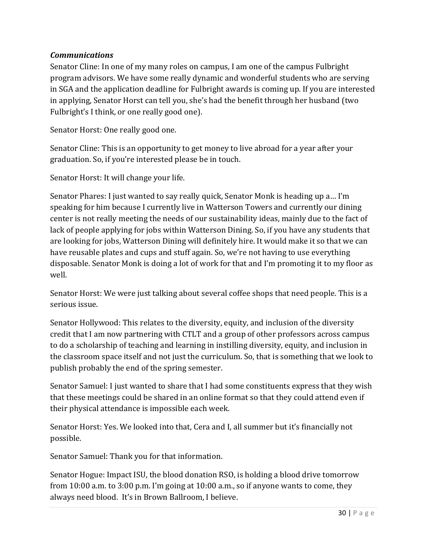### *Communications*

Senator Cline: In one of my many roles on campus, I am one of the campus Fulbright program advisors. We have some really dynamic and wonderful students who are serving in SGA and the application deadline for Fulbright awards is coming up. If you are interested in applying, Senator Horst can tell you, she's had the benefit through her husband (two Fulbright's I think, or one really good one).

Senator Horst: One really good one.

Senator Cline: This is an opportunity to get money to live abroad for a year after your graduation. So, if you're interested please be in touch.

Senator Horst: It will change your life.

Senator Phares: I just wanted to say really quick, Senator Monk is heading up a… I'm speaking for him because I currently live in Watterson Towers and currently our dining center is not really meeting the needs of our sustainability ideas, mainly due to the fact of lack of people applying for jobs within Watterson Dining. So, if you have any students that are looking for jobs, Watterson Dining will definitely hire. It would make it so that we can have reusable plates and cups and stuff again. So, we're not having to use everything disposable. Senator Monk is doing a lot of work for that and I'm promoting it to my floor as well.

Senator Horst: We were just talking about several coffee shops that need people. This is a serious issue.

Senator Hollywood: This relates to the diversity, equity, and inclusion of the diversity credit that I am now partnering with CTLT and a group of other professors across campus to do a scholarship of teaching and learning in instilling diversity, equity, and inclusion in the classroom space itself and not just the curriculum. So, that is something that we look to publish probably the end of the spring semester.

Senator Samuel: I just wanted to share that I had some constituents express that they wish that these meetings could be shared in an online format so that they could attend even if their physical attendance is impossible each week.

Senator Horst: Yes. We looked into that, Cera and I, all summer but it's financially not possible.

Senator Samuel: Thank you for that information.

Senator Hogue: Impact ISU, the blood donation RSO, is holding a blood drive tomorrow from 10:00 a.m. to 3:00 p.m. I'm going at 10:00 a.m., so if anyone wants to come, they always need blood. It's in Brown Ballroom, I believe.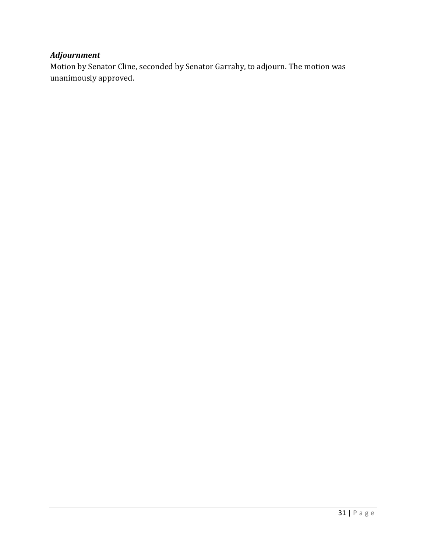## *Adjournment*

Motion by Senator Cline, seconded by Senator Garrahy, to adjourn. The motion was unanimously approved.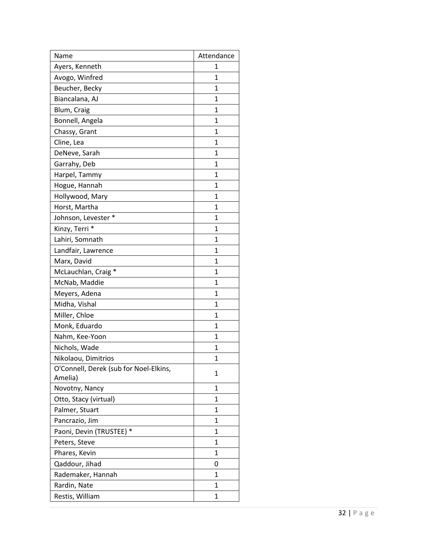| Name                                              | Attendance   |
|---------------------------------------------------|--------------|
| Ayers, Kenneth                                    | 1            |
| Avogo, Winfred                                    | $\mathbf{1}$ |
| Beucher, Becky                                    | 1            |
| Biancalana, AJ                                    | $\mathbf{1}$ |
| Blum, Craig                                       | $\mathbf{1}$ |
| Bonnell, Angela                                   | 1            |
| Chassy, Grant                                     | $\mathbf{1}$ |
| Cline, Lea                                        | 1            |
| DeNeve, Sarah                                     | $\mathbf{1}$ |
| Garrahy, Deb                                      | 1            |
| Harpel, Tammy                                     | $\mathbf{1}$ |
| Hogue, Hannah                                     | $\mathbf{1}$ |
| Hollywood, Mary                                   | 1            |
| Horst, Martha                                     | 1            |
| Johnson, Levester *                               | $\mathbf{1}$ |
| Kinzy, Terri *                                    | $\mathbf{1}$ |
| Lahiri, Somnath                                   | $\mathbf{1}$ |
| Landfair, Lawrence                                | 1            |
| Marx, David                                       | $\mathbf{1}$ |
| McLauchlan, Craig *                               | 1            |
| McNab, Maddie                                     | $\mathbf{1}$ |
| Meyers, Adena                                     | $\mathbf{1}$ |
| Midha, Vishal                                     | $\mathbf{1}$ |
| Miller, Chloe                                     | $\mathbf{1}$ |
| Monk, Eduardo                                     | 1            |
| Nahm, Kee-Yoon                                    | $\mathbf{1}$ |
| Nichols, Wade                                     | 1            |
| Nikolaou, Dimitrios                               | 1            |
| O'Connell, Derek (sub for Noel-Elkins,<br>Amelia) | 1            |
| Novotny, Nancy                                    | 1            |
| Otto, Stacy (virtual)                             | $\mathbf{1}$ |
| Palmer, Stuart                                    | 1            |
| Pancrazio, Jim                                    | 1            |
|                                                   | $\mathbf{1}$ |
| Paoni, Devin (TRUSTEE) *                          | 1            |
| Peters, Steve                                     |              |
| Phares, Kevin                                     | $\mathbf{1}$ |
| Qaddour, Jihad                                    | 0            |
| Rademaker, Hannah                                 | 1            |
| Rardin, Nate                                      | 1            |
| Restis, William                                   | 1            |